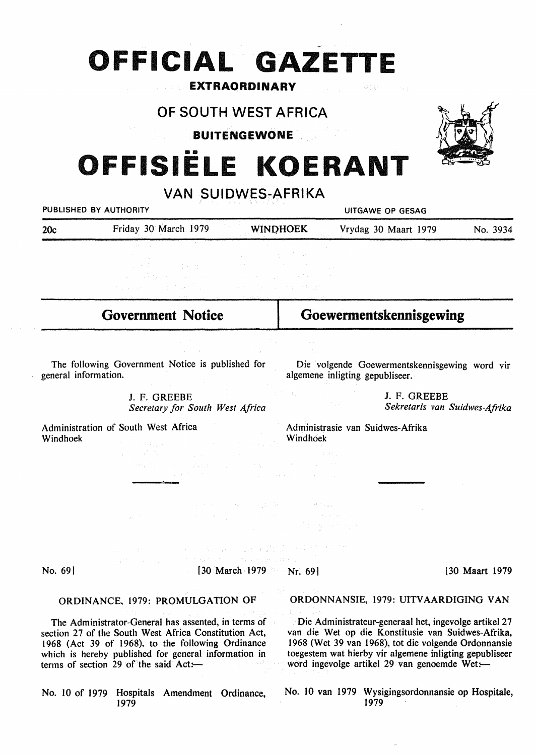# **OFFICIAL GAZET**

### **EXTRAORDINARY**

## **OF SOUTH WEST AFRICA**

**BUITENGEWONE** 

# **111111 OFFISIELE KOERANT**

**VAN SUIDWES-AFRIKA** 

| $\mathbf{v}$ $\mathbf{w}$ $\mathbf{v}$ $\mathbf{v}$ $\mathbf{v}$ $\mathbf{v}$ $\mathbf{v}$ $\mathbf{v}$ $\mathbf{v}$ $\mathbf{v}$ $\mathbf{v}$ |                                                                                                                                                                                                                                                                                                                                                                                                                                                                                                                                      |                                                                                                                                                                                                                                |                                                                                                                                                                                                                                                                      |                      |          |
|------------------------------------------------------------------------------------------------------------------------------------------------|--------------------------------------------------------------------------------------------------------------------------------------------------------------------------------------------------------------------------------------------------------------------------------------------------------------------------------------------------------------------------------------------------------------------------------------------------------------------------------------------------------------------------------------|--------------------------------------------------------------------------------------------------------------------------------------------------------------------------------------------------------------------------------|----------------------------------------------------------------------------------------------------------------------------------------------------------------------------------------------------------------------------------------------------------------------|----------------------|----------|
| PUBLISHED BY AUTHORITY                                                                                                                         |                                                                                                                                                                                                                                                                                                                                                                                                                                                                                                                                      |                                                                                                                                                                                                                                | UITGAWE OP GESAG                                                                                                                                                                                                                                                     |                      |          |
| 20c                                                                                                                                            | Friday 30 March 1979                                                                                                                                                                                                                                                                                                                                                                                                                                                                                                                 | <b>WINDHOEK</b>                                                                                                                                                                                                                |                                                                                                                                                                                                                                                                      | Vrydag 30 Maart 1979 | No. 3934 |
|                                                                                                                                                | and the second control of the second con-<br>$\label{eq:2.1} \frac{1}{2} \sum_{i=1}^n \frac{1}{2} \sum_{i=1}^n \frac{1}{2} \sum_{i=1}^n \frac{1}{2} \sum_{i=1}^n \frac{1}{2} \sum_{i=1}^n \frac{1}{2} \sum_{i=1}^n \frac{1}{2} \sum_{i=1}^n \frac{1}{2} \sum_{i=1}^n \frac{1}{2} \sum_{i=1}^n \frac{1}{2} \sum_{i=1}^n \frac{1}{2} \sum_{i=1}^n \frac{1}{2} \sum_{i=1}^n \frac{1}{2} \sum_{i=1}^n \frac{$<br>and the book and the state of<br>나는 사람 앞으로 이 날씨는 아이들이 나서 내렸다. 이 잘 저 발달한 것이 어려웠다.<br>医上皮病 医无心管 网络经常管理 医二乙基甲基 医二乙二醇 经保险单的 |                                                                                                                                                                                                                                | $\label{eq:2.1} \mathcal{L}_{\mathcal{F}}(x) = \mathcal{L}_{\mathcal{F}}(x) + \mathcal{L}_{\mathcal{F}}(x) + \frac{1}{2} \mathcal{L}_{\mathcal{F}}(x) + \mathcal{L}_{\mathcal{F}}(x) + \mathcal{L}_{\mathcal{F}}(x)$<br>医阴茎 医心脏病 医骨盆的 医白色<br>アンカート アンドラン かんこうきょう しょく |                      |          |
| <b>Government Notice</b>                                                                                                                       |                                                                                                                                                                                                                                                                                                                                                                                                                                                                                                                                      |                                                                                                                                                                                                                                | Goewermentskennisgewing                                                                                                                                                                                                                                              |                      |          |
|                                                                                                                                                | (4) これの無い アイティー・アイティー はちょう 大きい (8) しゃ                                                                                                                                                                                                                                                                                                                                                                                                                                                                                                | and the second control of the second control of the second control of the second control of the second control of the second control of the second control of the second control of the second control of the second control o |                                                                                                                                                                                                                                                                      |                      |          |
| The following Government Notice is published for<br>general information.                                                                       |                                                                                                                                                                                                                                                                                                                                                                                                                                                                                                                                      |                                                                                                                                                                                                                                | Die volgende Goewermentskennisgewing word vir<br>algemene inligting gepubliseer.                                                                                                                                                                                     |                      |          |
|                                                                                                                                                |                                                                                                                                                                                                                                                                                                                                                                                                                                                                                                                                      |                                                                                                                                                                                                                                |                                                                                                                                                                                                                                                                      |                      |          |

J. F. GREEBE *Secretary for South West Africa* 

Administration of South West Africa Windhoek

*Sekretaris van Suidwes-Afrika*  Administrasie van Suidwes-Afrika Windhoek

 $\mathbb{S}=\mathbb{R}^{2\times 2}$  of the

erman berlijk is de No. 69 [30 March 1979 [30] Nr. 69]

where  $\omega = 2\pi i$  as  $\mathcal{D}_{\alpha}(\mathcal{D})$  and  $\omega_{\alpha}^{(0)}$  and

 $\label{eq:3} \mathcal{F}_{\mathcal{M}}(\mathcal{H})\mathcal{H}=\mathcal{F}_{\mathcal{M}}(\mathcal{H})\mathcal{H}=\mathcal{F}_{\mathcal{M}}(\mathcal{H})\mathcal{H}(\mathcal{H})$ 

Nr. 691 [30 **Maart** 1979

### ORDINANCE, 1979: PROMULGATION OF

----·-

The Administrator-General has assented, in terms of section 27 of the South West Africa Constitution Act, 1968 (Act 39 of 1968), to the following Ordinance which is hereby published for general information in terms of section 29 of the said  $Act:$ 

No. 10 of 1979 Hospitals Amendment Ordinance, 1979

**ORDONNANSIE,** 1979: **UITVAARDIGING VAN** 

J. F. GREEBE

Die Administrateur-generaal het, ingevolge artikel 27 van die Wet op die Konstitusie van Suidwes-Afrika, 1968 (Wet 39 van 1968), tot die volgende Ordonnansie toegestem wat hierby vir algemene inligting gepubliseer word ingevolge artikel 29 van genoemde Wet:-

No. 10 van 1979 Wysigingsordonnansie op Hospitale, 1979

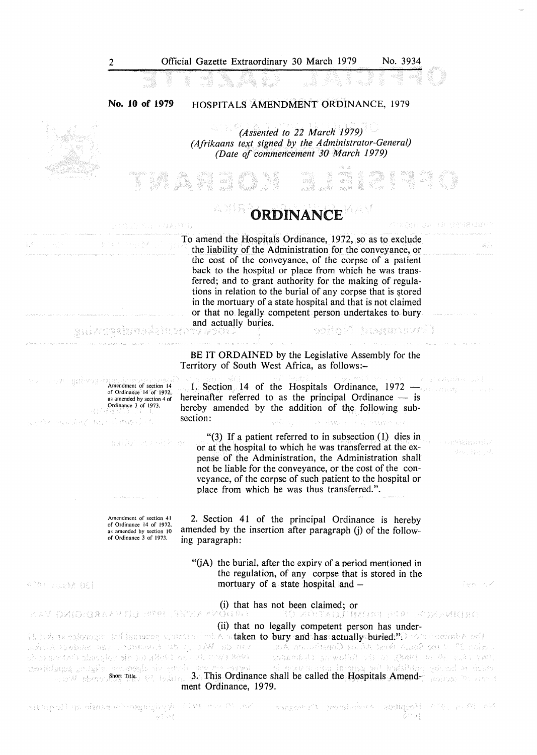#### **No. 10 of 1979**  HOSPITALS AMENDMENT ORDINANCE, 1979

*(Assented to 22 March 1979) (Afrikaans text signed by the Administrator-General) (Date of commencement 30 March 1979)* 

IZ 5

化单元转移 计单元表 化电气装置机

#### **A** 难控 ORDINANCE

To amend the Hospitals Ordinance, 1972, so as to exclude **K**49 × 1926 计原始 网络银色 i da Sin the liability of the Administration for the conveyance, or the cost of the conveyance, of the corpse of a patient back to the hospital or place from which he was transferred; and to grant authority for the making of regulations in relation to the burial of any corpse that is stored in the mortuary of a state hospital and that is not claimed or that no legally competent person undertakes to bury and actually buries. guiversite pàtter soholi usmnovni) BE IT ORDAINED by the Legislative Assembly for the Territory of South West Africa, as follows: a enganesina bial  $\mathbb{A}^{(n)}$  Amendment of section 14 1. Section. 14 of the Hospitals Ordinance, 1972 - Communication of Ordinance 14 'of 1972, hereinafter referred to as the principal Ordinance  $-$  is as amended by section 4 of Ordinance 3 of 1973. hereby amended by the addition of the following sub-국원 세 section: a between an Sphila in steps - Appl "(3) If a patient referred to in subsection  $(1)$  dies in ombjemi/ saily money or at the hospital to which he was transferred at the expense of the Administration, the Administration shall not be liable for the conveyance, or the cost of the conveyance, of the corpse of such patient to the hospital or place from which he was thus transferred.". **Amendment of section 4 J**  2. Section 41 of the principal Ordinance is hereby of Ordinance 14 of 1972, amended by the insertion after paragraph (j) of the followas amended by section 10 of Ordinance 3 of 1973. ing paragraph: " $(jA)$  the burial, after the expiry of a period mentioned in the regulation, of any corpse that is stored in the mortuary of a state hospital and -Esperanto <sup>0000</sup> / 02%以 02) (i) that has not been claimed; or<br>AAV OARORIAAAMERREPRE BREAMORERA TO APETADULISMENT PERSONARIENT (ii) that no legally competent person has underthe form of Bandage and the actual states in the bury and the sectionally interest. The construction of the se<br>The action to buried; and has actually states in the construction of the section of the colores and the sectio<br> societist sa vellol so un gaar mode than have Short Title. **Short Title. 3.** This Ordinance shall be called the Hospitals Amendment Ordinance, 1979.

She if our if  $\mathcal{W}(k)$  department increases the flowing **WS 登場** 

songerief gegenenden Ambandere Urberen ईगाउन्

おき記入り (収録)等役